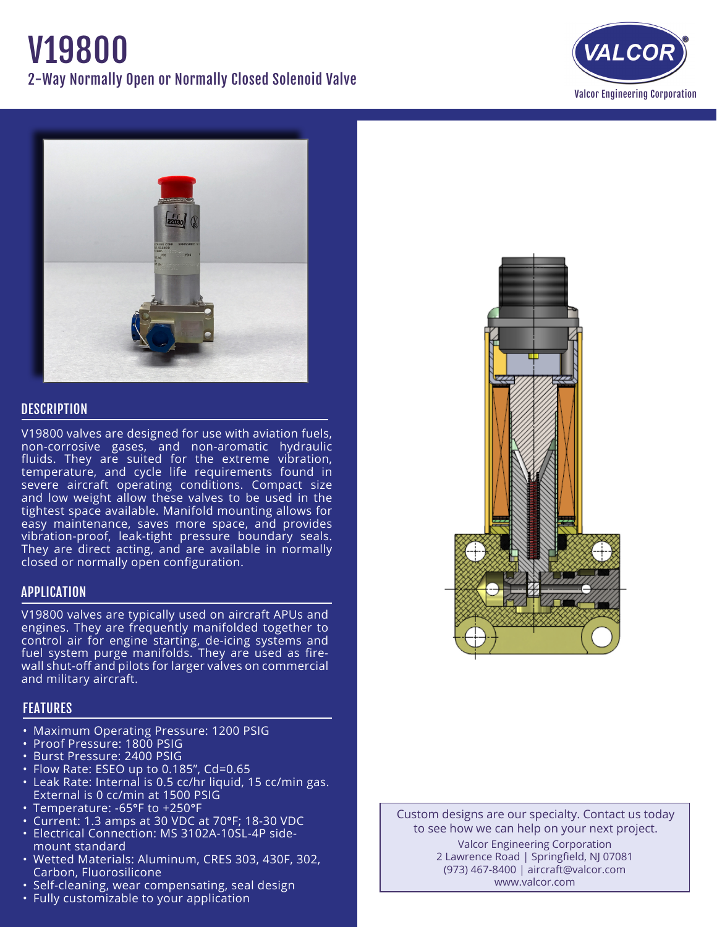# V19800 2-Way Normally Open or Normally Closed Solenoid Valve





## **DESCRIPTION**

V19800 valves are designed for use with aviation fuels, non-corrosive gases, and non-aromatic hydraulic fluids. They are suited for the extreme vibration, temperature, and cycle life requirements found in severe aircraft operating conditions. Compact size and low weight allow these valves to be used in the tightest space available. Manifold mounting allows for easy maintenance, saves more space, and provides vibration-proof, leak-tight pressure boundary seals. They are direct acting, and are available in normally closed or normally open configuration.

## APPLICATION

V19800 valves are typically used on aircraft APUs and engines. They are frequently manifolded together to control air for engine starting, de-icing systems and fuel system purge manifolds. They are used as firewall shut-off and pilots for larger valves on commercial and military aircraft.

# **FEATURES**

- Maximum Operating Pressure: 1200 PSIG
- Proof Pressure: 1800 PSIG
- • Burst Pressure: 2400 PSIG
- $\cdot$  Flow Rate: ESEO up to 0.185", Cd=0.65
- • Leak Rate: Internal is 0.5 cc/hr liquid, 15 cc/min gas. External is 0 cc/min at 1500 PSIG
- Temperature: -65°F to +250°F
- • Current: 1.3 amps at 30 VDC at 70°F; 18-30 VDC
- Electrical Connection: MS 3102A-10SL-4P side- mount standard
- • Wetted Materials: Aluminum, CRES 303, 430F, 302, Carbon, Fluorosilicone
- Self-cleaning, wear compensating, seal design
- Fully customizable to your application

Custom designs are our specialty. Contact us today to see how we can help on your next project. Valcor Engineering Corporation 2 Lawrence Road | Springfield, NJ 07081 (973) 467-8400 | aircraft@valcor.com www.valcor.com